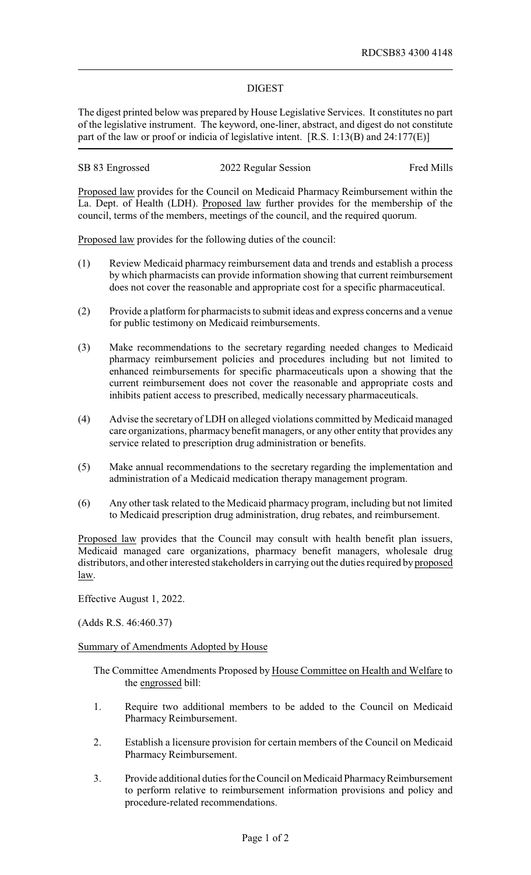## DIGEST

The digest printed below was prepared by House Legislative Services. It constitutes no part of the legislative instrument. The keyword, one-liner, abstract, and digest do not constitute part of the law or proof or indicia of legislative intent. [R.S. 1:13(B) and 24:177(E)]

| SB 83 Engrossed | 2022 Regular Session | Fred Mills |
|-----------------|----------------------|------------|
|-----------------|----------------------|------------|

Proposed law provides for the Council on Medicaid Pharmacy Reimbursement within the La. Dept. of Health (LDH). Proposed law further provides for the membership of the council, terms of the members, meetings of the council, and the required quorum.

Proposed law provides for the following duties of the council:

- (1) Review Medicaid pharmacy reimbursement data and trends and establish a process by which pharmacists can provide information showing that current reimbursement does not cover the reasonable and appropriate cost for a specific pharmaceutical.
- (2) Provide a platform for pharmacists to submit ideas and express concerns and a venue for public testimony on Medicaid reimbursements.
- (3) Make recommendations to the secretary regarding needed changes to Medicaid pharmacy reimbursement policies and procedures including but not limited to enhanced reimbursements for specific pharmaceuticals upon a showing that the current reimbursement does not cover the reasonable and appropriate costs and inhibits patient access to prescribed, medically necessary pharmaceuticals.
- (4) Advise the secretary of LDH on alleged violations committed by Medicaid managed care organizations, pharmacy benefit managers, or any other entity that provides any service related to prescription drug administration or benefits.
- (5) Make annual recommendations to the secretary regarding the implementation and administration of a Medicaid medication therapy management program.
- (6) Any other task related to the Medicaid pharmacy program, including but not limited to Medicaid prescription drug administration, drug rebates, and reimbursement.

Proposed law provides that the Council may consult with health benefit plan issuers, Medicaid managed care organizations, pharmacy benefit managers, wholesale drug distributors, and other interested stakeholders in carrying out the duties required by proposed law.

Effective August 1, 2022.

(Adds R.S. 46:460.37)

## Summary of Amendments Adopted by House

The Committee Amendments Proposed by House Committee on Health and Welfare to the engrossed bill:

- 1. Require two additional members to be added to the Council on Medicaid Pharmacy Reimbursement.
- 2. Establish a licensure provision for certain members of the Council on Medicaid Pharmacy Reimbursement.
- 3. Provide additional duties for the Council on Medicaid PharmacyReimbursement to perform relative to reimbursement information provisions and policy and procedure-related recommendations.